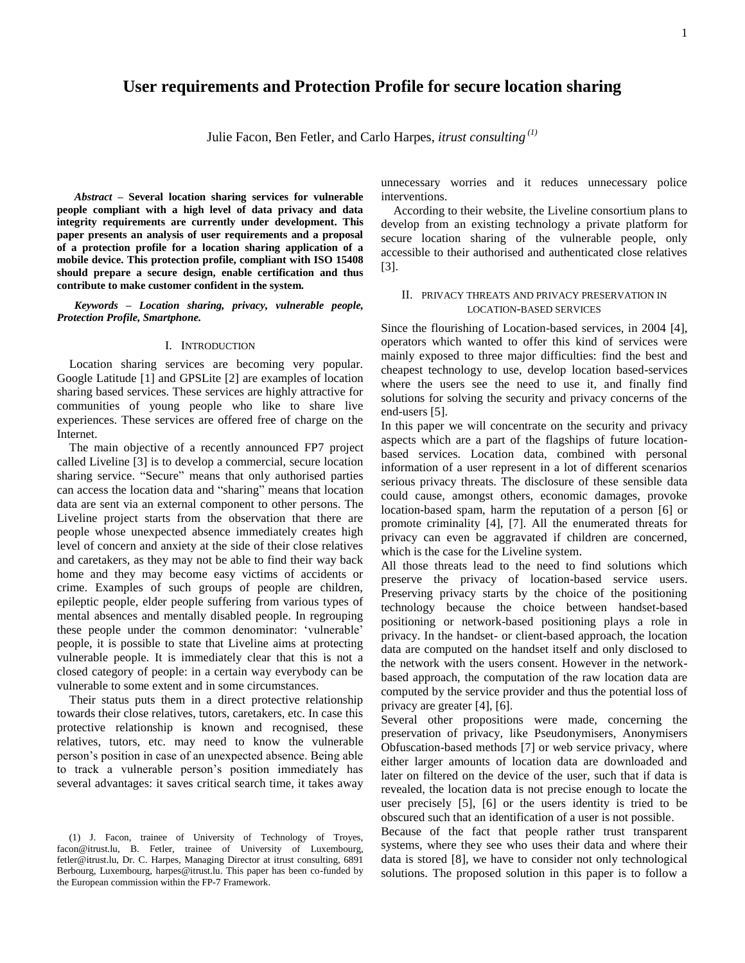# **User requirements and Protection Profile for secure location sharing**

Julie Facon, Ben Fetler, and Carlo Harpes, *itrust consulting (1)*

*Abstract* **– Several location sharing services for vulnerable people compliant with a high level of data privacy and data integrity requirements are currently under development. This paper presents an analysis of user requirements and a proposal of a protection profile for a location sharing application of a mobile device. This protection profile, compliant with ISO 15408 should prepare a secure design, enable certification and thus contribute to make customer confident in the system.**

*Keywords – Location sharing, privacy, vulnerable people, Protection Profile, Smartphone.*

#### I. INTRODUCTION

Location sharing services are becoming very popular. Google Latitude [1] and GPSLite [2] are examples of location sharing based services. These services are highly attractive for communities of young people who like to share live experiences. These services are offered free of charge on the Internet.

The main objective of a recently announced FP7 project called Liveline [3] is to develop a commercial, secure location sharing service. "Secure" means that only authorised parties can access the location data and "sharing" means that location data are sent via an external component to other persons. The Liveline project starts from the observation that there are people whose unexpected absence immediately creates high level of concern and anxiety at the side of their close relatives and caretakers, as they may not be able to find their way back home and they may become easy victims of accidents or crime. Examples of such groups of people are children, epileptic people, elder people suffering from various types of mental absences and mentally disabled people. In regrouping these people under the common denominator: "vulnerable" people, it is possible to state that Liveline aims at protecting vulnerable people. It is immediately clear that this is not a closed category of people: in a certain way everybody can be vulnerable to some extent and in some circumstances.

Their status puts them in a direct protective relationship towards their close relatives, tutors, caretakers, etc. In case this protective relationship is known and recognised, these relatives, tutors, etc. may need to know the vulnerable person"s position in case of an unexpected absence. Being able to track a vulnerable person"s position immediately has several advantages: it saves critical search time, it takes away

unnecessary worries and it reduces unnecessary police interventions.

According to their website, the Liveline consortium plans to develop from an existing technology a private platform for secure location sharing of the vulnerable people, only accessible to their authorised and authenticated close relatives [3].

### II. PRIVACY THREATS AND PRIVACY PRESERVATION IN LOCATION-BASED SERVICES

Since the flourishing of Location-based services, in 2004 [4], operators which wanted to offer this kind of services were mainly exposed to three major difficulties: find the best and cheapest technology to use, develop location based-services where the users see the need to use it, and finally find solutions for solving the security and privacy concerns of the end-users [5].

In this paper we will concentrate on the security and privacy aspects which are a part of the flagships of future locationbased services. Location data, combined with personal information of a user represent in a lot of different scenarios serious privacy threats. The disclosure of these sensible data could cause, amongst others, economic damages, provoke location-based spam, harm the reputation of a person [6] or promote criminality [4], [7]. All the enumerated threats for privacy can even be aggravated if children are concerned, which is the case for the Liveline system.

All those threats lead to the need to find solutions which preserve the privacy of location-based service users. Preserving privacy starts by the choice of the positioning technology because the choice between handset-based positioning or network-based positioning plays a role in privacy. In the handset- or client-based approach, the location data are computed on the handset itself and only disclosed to the network with the users consent. However in the networkbased approach, the computation of the raw location data are computed by the service provider and thus the potential loss of privacy are greater [4], [6].

Several other propositions were made, concerning the preservation of privacy, like Pseudonymisers, Anonymisers Obfuscation-based methods [7] or web service privacy, where either larger amounts of location data are downloaded and later on filtered on the device of the user, such that if data is revealed, the location data is not precise enough to locate the user precisely [5], [6] or the users identity is tried to be obscured such that an identification of a user is not possible.

Because of the fact that people rather trust transparent systems, where they see who uses their data and where their data is stored [8], we have to consider not only technological solutions. The proposed solution in this paper is to follow a

<sup>(1)</sup> J. Facon, trainee of University of Technology of Troyes, facon@itrust.lu, B. Fetler, trainee of University of Luxembourg, fetler@itrust.lu, Dr. C. Harpes, Managing Director at itrust consulting, 6891 Berbourg, Luxembourg, harpes@itrust.lu. This paper has been co-funded by the European commission within the FP-7 Framework.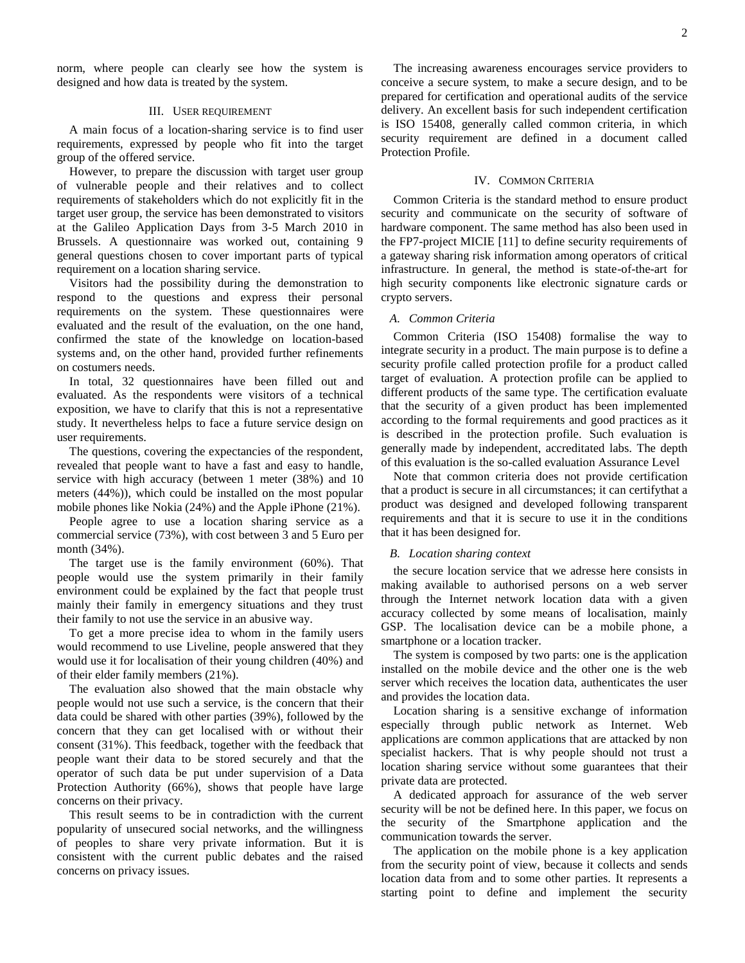norm, where people can clearly see how the system is designed and how data is treated by the system.

### III. USER REQUIREMENT

A main focus of a location-sharing service is to find user requirements, expressed by people who fit into the target group of the offered service.

However, to prepare the discussion with target user group of vulnerable people and their relatives and to collect requirements of stakeholders which do not explicitly fit in the target user group, the service has been demonstrated to visitors at the Galileo Application Days from 3-5 March 2010 in Brussels. A questionnaire was worked out, containing 9 general questions chosen to cover important parts of typical requirement on a location sharing service.

Visitors had the possibility during the demonstration to respond to the questions and express their personal requirements on the system. These questionnaires were evaluated and the result of the evaluation, on the one hand, confirmed the state of the knowledge on location-based systems and, on the other hand, provided further refinements on costumers needs.

In total, 32 questionnaires have been filled out and evaluated. As the respondents were visitors of a technical exposition, we have to clarify that this is not a representative study. It nevertheless helps to face a future service design on user requirements.

The questions, covering the expectancies of the respondent, revealed that people want to have a fast and easy to handle, service with high accuracy (between 1 meter (38%) and 10 meters (44%)), which could be installed on the most popular mobile phones like Nokia (24%) and the Apple iPhone (21%).

People agree to use a location sharing service as a commercial service (73%), with cost between 3 and 5 Euro per month (34%).

The target use is the family environment (60%). That people would use the system primarily in their family environment could be explained by the fact that people trust mainly their family in emergency situations and they trust their family to not use the service in an abusive way.

To get a more precise idea to whom in the family users would recommend to use Liveline, people answered that they would use it for localisation of their young children (40%) and of their elder family members (21%).

The evaluation also showed that the main obstacle why people would not use such a service, is the concern that their data could be shared with other parties (39%), followed by the concern that they can get localised with or without their consent (31%). This feedback, together with the feedback that people want their data to be stored securely and that the operator of such data be put under supervision of a Data Protection Authority (66%), shows that people have large concerns on their privacy.

This result seems to be in contradiction with the current popularity of unsecured social networks, and the willingness of peoples to share very private information. But it is consistent with the current public debates and the raised concerns on privacy issues.

The increasing awareness encourages service providers to conceive a secure system, to make a secure design, and to be prepared for certification and operational audits of the service delivery. An excellent basis for such independent certification is ISO 15408, generally called common criteria, in which security requirement are defined in a document called Protection Profile.

## IV. COMMON CRITERIA

Common Criteria is the standard method to ensure product security and communicate on the security of software of hardware component. The same method has also been used in the FP7-project MICIE [11] to define security requirements of a gateway sharing risk information among operators of critical infrastructure. In general, the method is state-of-the-art for high security components like electronic signature cards or crypto servers.

#### *A. Common Criteria*

Common Criteria (ISO 15408) formalise the way to integrate security in a product. The main purpose is to define a security profile called protection profile for a product called target of evaluation. A protection profile can be applied to different products of the same type. The certification evaluate that the security of a given product has been implemented according to the formal requirements and good practices as it is described in the protection profile. Such evaluation is generally made by independent, accreditated labs. The depth of this evaluation is the so-called evaluation Assurance Level

Note that common criteria does not provide certification that a product is secure in all circumstances; it can certifythat a product was designed and developed following transparent requirements and that it is secure to use it in the conditions that it has been designed for.

#### *B. Location sharing context*

the secure location service that we adresse here consists in making available to authorised persons on a web server through the Internet network location data with a given accuracy collected by some means of localisation, mainly GSP. The localisation device can be a mobile phone, a smartphone or a location tracker.

The system is composed by two parts: one is the application installed on the mobile device and the other one is the web server which receives the location data, authenticates the user and provides the location data.

Location sharing is a sensitive exchange of information especially through public network as Internet. Web applications are common applications that are attacked by non specialist hackers. That is why people should not trust a location sharing service without some guarantees that their private data are protected.

A dedicated approach for assurance of the web server security will be not be defined here. In this paper, we focus on the security of the Smartphone application and the communication towards the server.

The application on the mobile phone is a key application from the security point of view, because it collects and sends location data from and to some other parties. It represents a starting point to define and implement the security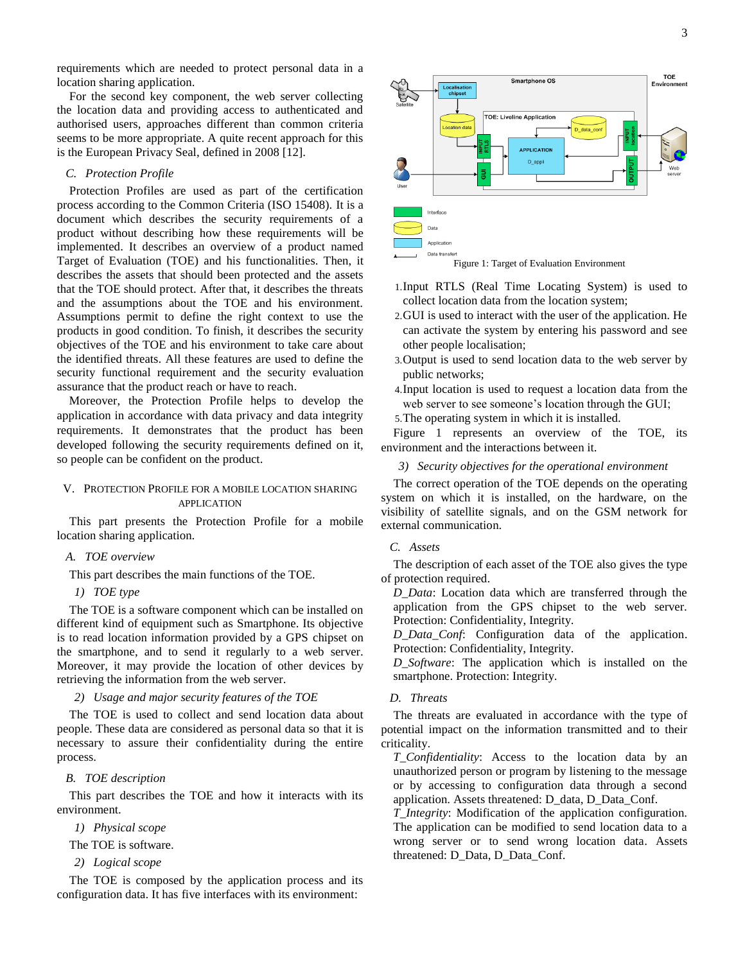requirements which are needed to protect personal data in a location sharing application.

For the second key component, the web server collecting the location data and providing access to authenticated and authorised users, approaches different than common criteria seems to be more appropriate. A quite recent approach for this is the European Privacy Seal, defined in 2008 [12].

## *C. Protection Profile*

Protection Profiles are used as part of the certification process according to the Common Criteria (ISO 15408). It is a document which describes the security requirements of a product without describing how these requirements will be implemented. It describes an overview of a product named Target of Evaluation (TOE) and his functionalities. Then, it describes the assets that should been protected and the assets that the TOE should protect. After that, it describes the threats and the assumptions about the TOE and his environment. Assumptions permit to define the right context to use the products in good condition. To finish, it describes the security objectives of the TOE and his environment to take care about the identified threats. All these features are used to define the security functional requirement and the security evaluation assurance that the product reach or have to reach.

Moreover, the Protection Profile helps to develop the application in accordance with data privacy and data integrity requirements. It demonstrates that the product has been developed following the security requirements defined on it, so people can be confident on the product.

## V. PROTECTION PROFILE FOR A MOBILE LOCATION SHARING APPLICATION

This part presents the Protection Profile for a mobile location sharing application.

## *A. TOE overview*

This part describes the main functions of the TOE.

*1) TOE type*

The TOE is a software component which can be installed on different kind of equipment such as Smartphone. Its objective is to read location information provided by a GPS chipset on the smartphone, and to send it regularly to a web server. Moreover, it may provide the location of other devices by retrieving the information from the web server.

### *2) Usage and major security features of the TOE*

The TOE is used to collect and send location data about people. These data are considered as personal data so that it is necessary to assure their confidentiality during the entire process.

## *B. TOE description*

This part describes the TOE and how it interacts with its environment.

*1) Physical scope*

The TOE is software.

*2) Logical scope*

The TOE is composed by the application process and its configuration data. It has five interfaces with its environment:





- 1.Input RTLS (Real Time Locating System) is used to collect location data from the location system;
- 2.GUI is used to interact with the user of the application. He can activate the system by entering his password and see other people localisation;
- 3.Output is used to send location data to the web server by public networks;
- 4.Input location is used to request a location data from the web server to see someone's location through the GUI;
- 5.The operating system in which it is installed.

Figure 1 represents an overview of the TOE, its environment and the interactions between it.

#### *3) Security objectives for the operational environment*

The correct operation of the TOE depends on the operating system on which it is installed, on the hardware, on the visibility of satellite signals, and on the GSM network for external communication.

#### *C. Assets*

The description of each asset of the TOE also gives the type of protection required.

*D\_Data*: Location data which are transferred through the application from the GPS chipset to the web server. Protection: Confidentiality, Integrity.

*D\_Data\_Conf*: Configuration data of the application. Protection: Confidentiality, Integrity.

*D\_Software*: The application which is installed on the smartphone. Protection: Integrity.

#### *D. Threats*

The threats are evaluated in accordance with the type of potential impact on the information transmitted and to their criticality.

*T\_Confidentiality*: Access to the location data by an unauthorized person or program by listening to the message or by accessing to configuration data through a second application. Assets threatened: D\_data, D\_Data\_Conf.

*T\_Integrity*: Modification of the application configuration. The application can be modified to send location data to a wrong server or to send wrong location data. Assets threatened: D\_Data, D\_Data\_Conf.